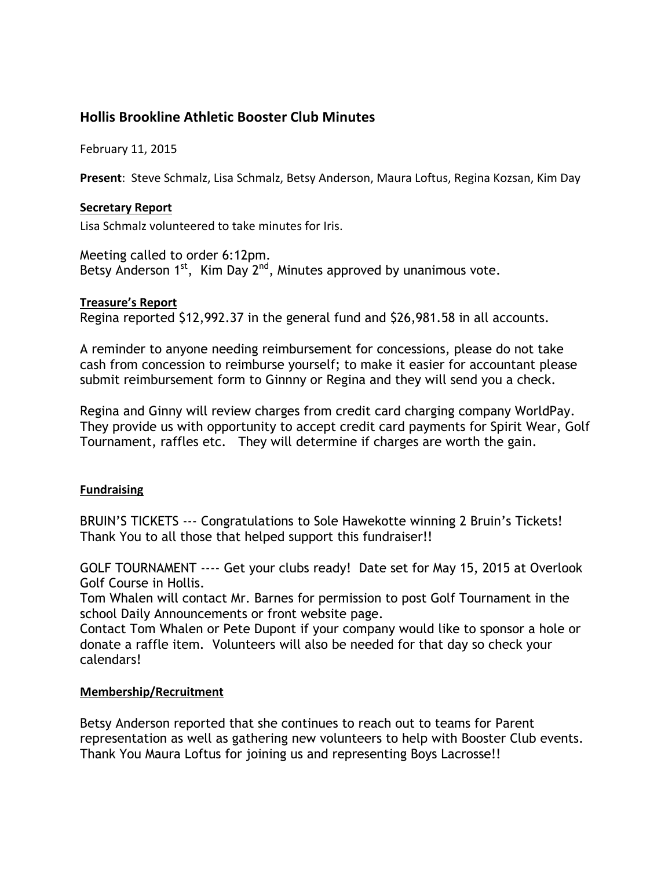# **Hollis Brookline Athletic Booster Club Minutes**

February 11, 2015

Present: Steve Schmalz, Lisa Schmalz, Betsy Anderson, Maura Loftus, Regina Kozsan, Kim Day

#### **Secretary Report**

Lisa Schmalz volunteered to take minutes for Iris.

Meeting called to order 6:12pm. Betsy Anderson  $1^{st}$ , Kim Day  $2^{nd}$ , Minutes approved by unanimous vote.

#### **Treasure's Report**

Regina reported \$12,992.37 in the general fund and \$26,981.58 in all accounts.

A reminder to anyone needing reimbursement for concessions, please do not take cash from concession to reimburse yourself; to make it easier for accountant please submit reimbursement form to Ginnny or Regina and they will send you a check.

Regina and Ginny will review charges from credit card charging company WorldPay. They provide us with opportunity to accept credit card payments for Spirit Wear, Golf Tournament, raffles etc. They will determine if charges are worth the gain.

#### **Fundraising**

BRUIN'S TICKETS --- Congratulations to Sole Hawekotte winning 2 Bruin's Tickets! Thank You to all those that helped support this fundraiser!!

GOLF TOURNAMENT ---- Get your clubs ready! Date set for May 15, 2015 at Overlook Golf Course in Hollis.

Tom Whalen will contact Mr. Barnes for permission to post Golf Tournament in the school Daily Announcements or front website page.

Contact Tom Whalen or Pete Dupont if your company would like to sponsor a hole or donate a raffle item. Volunteers will also be needed for that day so check your calendars!

#### **Membership/Recruitment**

Betsy Anderson reported that she continues to reach out to teams for Parent representation as well as gathering new volunteers to help with Booster Club events. Thank You Maura Loftus for joining us and representing Boys Lacrosse!!